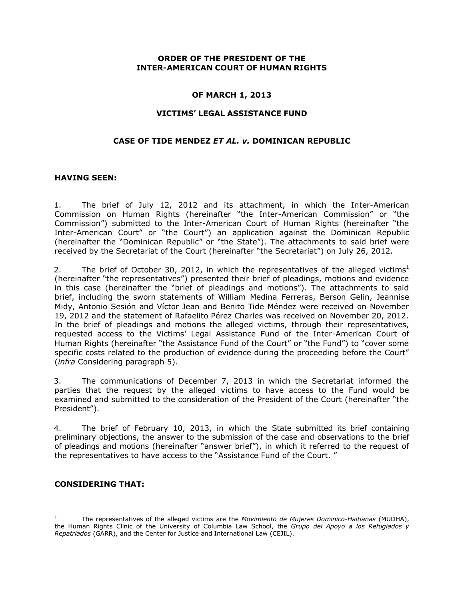#### **ORDER OF THE PRESIDENT OF THE INTER-AMERICAN COURT OF HUMAN RIGHTS**

#### **OF MARCH 1, 2013**

#### **VICTIMS' LEGAL ASSISTANCE FUND**

#### **CASE OF TIDE MENDEZ** *ET AL. v.* **DOMINICAN REPUBLIC**

#### **HAVING SEEN:**

1. The brief of July 12, 2012 and its attachment, in which the Inter-American Commission on Human Rights (hereinafter "the Inter-American Commission" or "the Commission") submitted to the Inter-American Court of Human Rights (hereinafter "the Inter-American Court" or "the Court") an application against the Dominican Republic (hereinafter the "Dominican Republic" or "the State"). The attachments to said brief were received by the Secretariat of the Court (hereinafter "the Secretariat") on July 26, 2012.

2. The brief of October 30, 2012, in which the representatives of the alleged victims<sup>1</sup> (hereinafter "the representatives") presented their brief of pleadings, motions and evidence in this case (hereinafter the "brief of pleadings and motions"). The attachments to said brief, including the sworn statements of William Medina Ferreras, Berson Gelin, Jeannise Midy, Antonio Sesión and Víctor Jean and Benito Tide Méndez were received on November 19, 2012 and the statement of Rafaelito Pérez Charles was received on November 20, 2012. In the brief of pleadings and motions the alleged victims, through their representatives, requested access to the Victims' Legal Assistance Fund of the Inter-American Court of Human Rights (hereinafter "the Assistance Fund of the Court" or "the Fund") to "cover some specific costs related to the production of evidence during the proceeding before the Court" (*infra* Considering paragraph 5).

3. The communications of December 7, 2013 in which the Secretariat informed the parties that the request by the alleged victims to have access to the Fund would be examined and submitted to the consideration of the President of the Court (hereinafter "the President").

4. The brief of February 10, 2013, in which the State submitted its brief containing preliminary objections, the answer to the submission of the case and observations to the brief of pleadings and motions (hereinafter "answer brief"), in which it referred to the request of the representatives to have access to the "Assistance Fund of the Court. "

### **CONSIDERING THAT:**

 $\overline{a}$ 

<sup>1</sup> The representatives of the alleged victims are the *Movimiento de Mujeres Dominico-Haitianas* (MUDHA), the Human Rights Clinic of the University of Columbia Law School, the *Grupo del Apoyo a los Refugiados y Repatriados* (GARR), and the Center for Justice and International Law (CEJIL).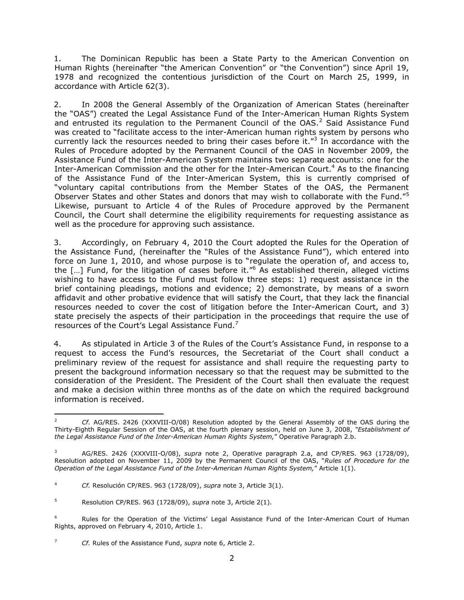1. The Dominican Republic has been a State Party to the American Convention on Human Rights (hereinafter "the American Convention" or "the Convention") since April 19, 1978 and recognized the contentious jurisdiction of the Court on March 25, 1999, in accordance with Article 62(3).

2. In 2008 the General Assembly of the Organization of American States (hereinafter the "OAS") created the Legal Assistance Fund of the Inter-American Human Rights System and entrusted its regulation to the Permanent Council of the  $OAS<sup>2</sup>$  Said Assistance Fund was created to "facilitate access to the inter-American human rights system by persons who currently lack the resources needed to bring their cases before it. $^{n3}$  In accordance with the Rules of Procedure adopted by the Permanent Council of the OAS in November 2009, the Assistance Fund of the Inter-American System maintains two separate accounts: one for the Inter-American Commission and the other for the Inter-American Court.<sup>4</sup> As to the financing of the Assistance Fund of the Inter-American System, this is currently comprised of "voluntary capital contributions from the Member States of the OAS, the Permanent Observer States and other States and donors that may wish to collaborate with the Fund."<sup>5</sup> Likewise, pursuant to Article 4 of the Rules of Procedure approved by the Permanent Council, the Court shall determine the eligibility requirements for requesting assistance as well as the procedure for approving such assistance.

3. Accordingly, on February 4, 2010 the Court adopted the Rules for the Operation of the Assistance Fund, (hereinafter the "Rules of the Assistance Fund"), which entered into force on June 1, 2010, and whose purpose is to "regulate the operation of, and access to, the  $[...]$  Fund, for the litigation of cases before it." $6$  As established therein, alleged victims wishing to have access to the Fund must follow three steps: 1) request assistance in the brief containing pleadings, motions and evidence; 2) demonstrate, by means of a sworn affidavit and other probative evidence that will satisfy the Court, that they lack the financial resources needed to cover the cost of litigation before the Inter-American Court, and 3) state precisely the aspects of their participation in the proceedings that require the use of resources of the Court's Legal Assistance Fund. $<sup>7</sup>$ </sup>

4. As stipulated in Article 3 of the Rules of the Court's Assistance Fund, in response to a request to access the Fund's resources, the Secretariat of the Court shall conduct a preliminary review of the request for assistance and shall require the requesting party to present the background information necessary so that the request may be submitted to the consideration of the President. The President of the Court shall then evaluate the request and make a decision within three months as of the date on which the required background information is received.

 $\overline{a}$ <sup>2</sup> *Cf.* AG/RES. 2426 (XXXVIII-O/08) Resolution adopted by the General Assembly of the OAS during the Thirty-Eighth Regular Session of the OAS, at the fourth plenary session, held on June 3, 2008, *"Establishment of the Legal Assistance Fund of the Inter-American Human Rights System,*" Operative Paragraph 2.b.

<sup>3</sup> AG/RES. 2426 (XXXVIII-O/08), *supra* note 2, Operative paragraph 2.a, and CP/RES. 963 (1728/09), Resolution adopted on November 11, 2009 by the Permanent Council of the OAS, "*Rules of Procedure for the Operation of the Legal Assistance Fund of the Inter-American Human Rights System,*" Article 1(1).

<sup>4</sup> *Cf.* Resolución CP/RES. 963 (1728/09), *supra* note 3, Article 3(1).

<sup>5</sup> Resolution CP/RES. 963 (1728/09), *supra* note 3, Article 2(1).

<sup>&</sup>lt;sup>6</sup> Rules for the Operation of the Victims' Legal Assistance Fund of the Inter-American Court of Human Rights, approved on February 4, 2010, Article 1.

<sup>7</sup> *Cf.* Rules of the Assistance Fund, *supra* note 6, Article 2.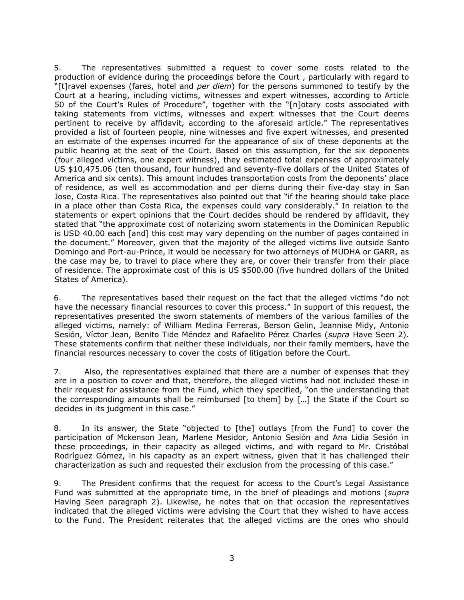5. The representatives submitted a request to cover some costs related to the production of evidence during the proceedings before the Court , particularly with regard to "[t]ravel expenses (fares, hotel and *per diem*) for the persons summoned to testify by the Court at a hearing, including victims, witnesses and expert witnesses, according to Article 50 of the Court's Rules of Procedure", together with the "[n]otary costs associated with taking statements from victims, witnesses and expert witnesses that the Court deems pertinent to receive by affidavit, according to the aforesaid article." The representatives provided a list of fourteen people, nine witnesses and five expert witnesses, and presented an estimate of the expenses incurred for the appearance of six of these deponents at the public hearing at the seat of the Court. Based on this assumption, for the six deponents (four alleged victims, one expert witness), they estimated total expenses of approximately US \$10,475.06 (ten thousand, four hundred and seventy-five dollars of the United States of America and six cents). This amount includes transportation costs from the deponents' place of residence, as well as accommodation and per diems during their five-day stay in San Jose, Costa Rica. The representatives also pointed out that "if the hearing should take place in a place other than Costa Rica, the expenses could vary considerably." In relation to the statements or expert opinions that the Court decides should be rendered by affidavit, they stated that "the approximate cost of notarizing sworn statements in the Dominican Republic is USD 40.00 each [and] this cost may vary depending on the number of pages contained in the document." Moreover, given that the majority of the alleged victims live outside Santo Domingo and Port-au-Prince, it would be necessary for two attorneys of MUDHA or GARR, as the case may be, to travel to place where they are, or cover their transfer from their place of residence. The approximate cost of this is US \$500.00 (five hundred dollars of the United States of America).

6. The representatives based their request on the fact that the alleged victims "do not have the necessary financial resources to cover this process." In support of this request, the representatives presented the sworn statements of members of the various families of the alleged victims, namely: of William Medina Ferreras, Berson Gelin, Jeannise Midy, Antonio Sesión, Víctor Jean, Benito Tide Méndez and Rafaelito Pérez Charles (*supra* Have Seen 2). These statements confirm that neither these individuals, nor their family members, have the financial resources necessary to cover the costs of litigation before the Court.

7. Also, the representatives explained that there are a number of expenses that they are in a position to cover and that, therefore, the alleged victims had not included these in their request for assistance from the Fund, which they specified, "on the understanding that the corresponding amounts shall be reimbursed [to them] by […] the State if the Court so decides in its judgment in this case."

8. In its answer, the State "objected to [the] outlays [from the Fund] to cover the participation of Mckenson Jean, Marlene Mesidor, Antonio Sesión and Ana Lidia Sesión in these proceedings, in their capacity as alleged victims, and with regard to Mr. Cristóbal Rodríguez Gómez, in his capacity as an expert witness, given that it has challenged their characterization as such and requested their exclusion from the processing of this case."

9. The President confirms that the request for access to the Court's Legal Assistance Fund was submitted at the appropriate time, in the brief of pleadings and motions (*supra*  Having Seen paragraph 2). Likewise, he notes that on that occasion the representatives indicated that the alleged victims were advising the Court that they wished to have access to the Fund. The President reiterates that the alleged victims are the ones who should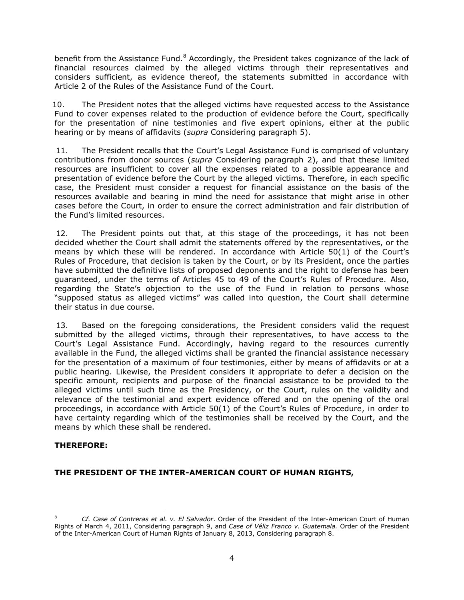benefit from the Assistance Fund.<sup>8</sup> Accordingly, the President takes cognizance of the lack of financial resources claimed by the alleged victims through their representatives and considers sufficient, as evidence thereof, the statements submitted in accordance with Article 2 of the Rules of the Assistance Fund of the Court.

10. The President notes that the alleged victims have requested access to the Assistance Fund to cover expenses related to the production of evidence before the Court, specifically for the presentation of nine testimonies and five expert opinions, either at the public hearing or by means of affidavits (*supra* Considering paragraph 5).

11. The President recalls that the Court's Legal Assistance Fund is comprised of voluntary contributions from donor sources (*supra* Considering paragraph 2), and that these limited resources are insufficient to cover all the expenses related to a possible appearance and presentation of evidence before the Court by the alleged victims. Therefore, in each specific case, the President must consider a request for financial assistance on the basis of the resources available and bearing in mind the need for assistance that might arise in other cases before the Court, in order to ensure the correct administration and fair distribution of the Fund's limited resources.

12. The President points out that, at this stage of the proceedings, it has not been decided whether the Court shall admit the statements offered by the representatives, or the means by which these will be rendered. In accordance with Article 50(1) of the Court's Rules of Procedure, that decision is taken by the Court, or by its President, once the parties have submitted the definitive lists of proposed deponents and the right to defense has been guaranteed, under the terms of Articles 45 to 49 of the Court's Rules of Procedure. Also, regarding the State's objection to the use of the Fund in relation to persons whose "supposed status as alleged victims" was called into question, the Court shall determine their status in due course.

13. Based on the foregoing considerations, the President considers valid the request submitted by the alleged victims, through their representatives, to have access to the Court's Legal Assistance Fund. Accordingly, having regard to the resources currently available in the Fund, the alleged victims shall be granted the financial assistance necessary for the presentation of a maximum of four testimonies, either by means of affidavits or at a public hearing. Likewise, the President considers it appropriate to defer a decision on the specific amount, recipients and purpose of the financial assistance to be provided to the alleged victims until such time as the Presidency, or the Court, rules on the validity and relevance of the testimonial and expert evidence offered and on the opening of the oral proceedings, in accordance with Article 50(1) of the Court's Rules of Procedure, in order to have certainty regarding which of the testimonies shall be received by the Court, and the means by which these shall be rendered.

# **THEREFORE:**

# **THE PRESIDENT OF THE INTER-AMERICAN COURT OF HUMAN RIGHTS,**

 $\overline{a}$ <sup>8</sup> *Cf. Case of Contreras et al. v. El Salvador*. Order of the President of the Inter-American Court of Human Rights of March 4, 2011, Considering paragraph 9, and *Case of Véliz Franco v. Guatemala.* Order of the President of the Inter-American Court of Human Rights of January 8, 2013, Considering paragraph 8.